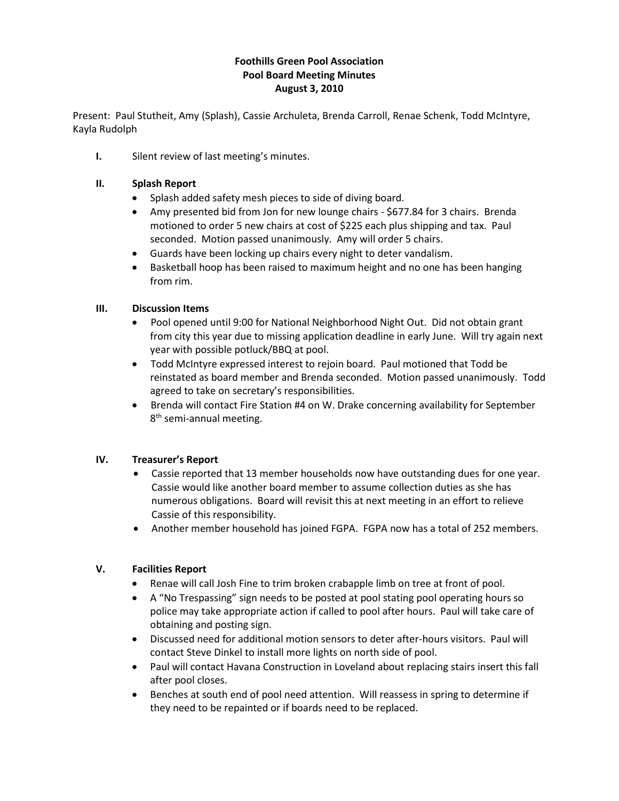## **Foothills Green Pool Association Pool Board Meeting Minutes August 3, 2010**

Present: Paul Stutheit, Amy (Splash), Cassie Archuleta, Brenda Carroll, Renae Schenk, Todd McIntyre, Kayla Rudolph

**I.** Silent review of last meeting's minutes.

#### **II. Splash Report**

- Splash added safety mesh pieces to side of diving board.
- Amy presented bid from Jon for new lounge chairs \$677.84 for 3 chairs. Brenda motioned to order 5 new chairs at cost of \$225 each plus shipping and tax. Paul seconded. Motion passed unanimously. Amy will order 5 chairs.
- Guards have been locking up chairs every night to deter vandalism.
- Basketball hoop has been raised to maximum height and no one has been hanging from rim.

## **III. Discussion Items**

- Pool opened until 9:00 for National Neighborhood Night Out. Did not obtain grant from city this year due to missing application deadline in early June. Will try again next year with possible potluck/BBQ at pool.
- Todd McIntyre expressed interest to rejoin board. Paul motioned that Todd be reinstated as board member and Brenda seconded. Motion passed unanimously. Todd agreed to take on secretary's responsibilities.
- Brenda will contact Fire Station #4 on W. Drake concerning availability for September 8<sup>th</sup> semi-annual meeting.

## **IV. Treasurer's Report**

- Cassie reported that 13 member households now have outstanding dues for one year. Cassie would like another board member to assume collection duties as she has numerous obligations. Board will revisit this at next meeting in an effort to relieve Cassie of this responsibility.
- Another member household has joined FGPA. FGPA now has a total of 252 members.

## **V. Facilities Report**

- Renae will call Josh Fine to trim broken crabapple limb on tree at front of pool.
- A "No Trespassing" sign needs to be posted at pool stating pool operating hours so police may take appropriate action if called to pool after hours. Paul will take care of obtaining and posting sign.
- Discussed need for additional motion sensors to deter after-hours visitors. Paul will contact Steve Dinkel to install more lights on north side of pool.
- Paul will contact Havana Construction in Loveland about replacing stairs insert this fall after pool closes.
- Benches at south end of pool need attention. Will reassess in spring to determine if they need to be repainted or if boards need to be replaced.